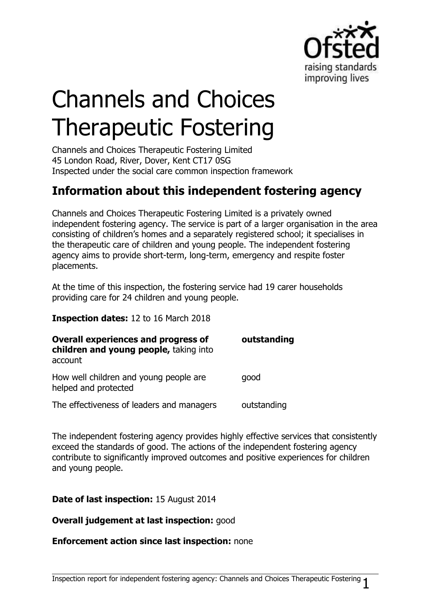

# Channels and Choices Therapeutic Fostering

Channels and Choices Therapeutic Fostering Limited 45 London Road, River, Dover, Kent CT17 0SG Inspected under the social care common inspection framework

# **Information about this independent fostering agency**

Channels and Choices Therapeutic Fostering Limited is a privately owned independent fostering agency. The service is part of a larger organisation in the area consisting of children's homes and a separately registered school; it specialises in the therapeutic care of children and young people. The independent fostering agency aims to provide short-term, long-term, emergency and respite foster placements.

At the time of this inspection, the fostering service had 19 carer households providing care for 24 children and young people.

**Inspection dates:** 12 to 16 March 2018

| <b>Overall experiences and progress of</b><br>children and young people, taking into<br>account | outstanding |
|-------------------------------------------------------------------------------------------------|-------------|
| How well children and young people are<br>helped and protected                                  | good        |
| The effectiveness of leaders and managers                                                       | outstanding |

The independent fostering agency provides highly effective services that consistently exceed the standards of good. The actions of the independent fostering agency contribute to significantly improved outcomes and positive experiences for children and young people.

### **Date of last inspection:** 15 August 2014

#### **Overall judgement at last inspection:** good

#### **Enforcement action since last inspection:** none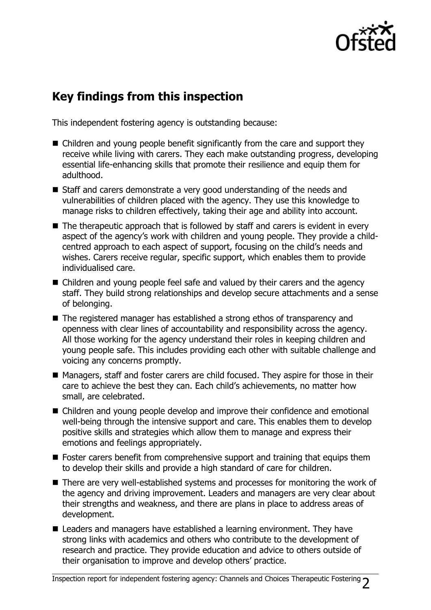

## **Key findings from this inspection**

This independent fostering agency is outstanding because:

- Children and young people benefit significantly from the care and support they receive while living with carers. They each make outstanding progress, developing essential life-enhancing skills that promote their resilience and equip them for adulthood.
- Staff and carers demonstrate a very good understanding of the needs and vulnerabilities of children placed with the agency. They use this knowledge to manage risks to children effectively, taking their age and ability into account.
- $\blacksquare$  The therapeutic approach that is followed by staff and carers is evident in every aspect of the agency's work with children and young people. They provide a childcentred approach to each aspect of support, focusing on the child's needs and wishes. Carers receive regular, specific support, which enables them to provide individualised care.
- Children and young people feel safe and valued by their carers and the agency staff. They build strong relationships and develop secure attachments and a sense of belonging.
- The registered manager has established a strong ethos of transparency and openness with clear lines of accountability and responsibility across the agency. All those working for the agency understand their roles in keeping children and young people safe. This includes providing each other with suitable challenge and voicing any concerns promptly.
- Managers, staff and foster carers are child focused. They aspire for those in their care to achieve the best they can. Each child's achievements, no matter how small, are celebrated.
- Children and young people develop and improve their confidence and emotional well-being through the intensive support and care. This enables them to develop positive skills and strategies which allow them to manage and express their emotions and feelings appropriately.
- Foster carers benefit from comprehensive support and training that equips them to develop their skills and provide a high standard of care for children.
- There are very well-established systems and processes for monitoring the work of the agency and driving improvement. Leaders and managers are very clear about their strengths and weakness, and there are plans in place to address areas of development.
- Leaders and managers have established a learning environment. They have strong links with academics and others who contribute to the development of research and practice. They provide education and advice to others outside of their organisation to improve and develop others' practice.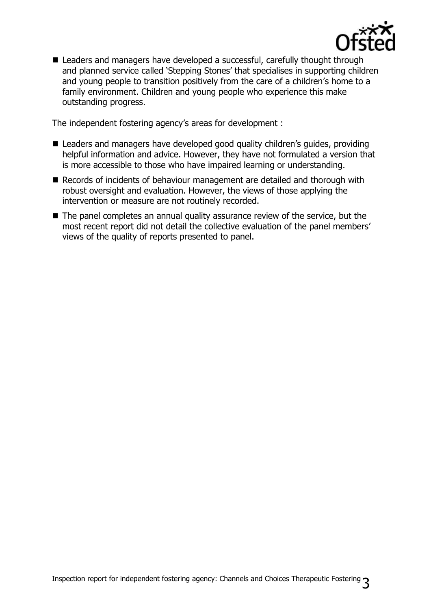

Leaders and managers have developed a successful, carefully thought through and planned service called 'Stepping Stones' that specialises in supporting children and young people to transition positively from the care of a children's home to a family environment. Children and young people who experience this make outstanding progress.

The independent fostering agency's areas for development :

- Leaders and managers have developed good quality children's quides, providing helpful information and advice. However, they have not formulated a version that is more accessible to those who have impaired learning or understanding.
- Records of incidents of behaviour management are detailed and thorough with robust oversight and evaluation. However, the views of those applying the intervention or measure are not routinely recorded.
- The panel completes an annual quality assurance review of the service, but the most recent report did not detail the collective evaluation of the panel members' views of the quality of reports presented to panel.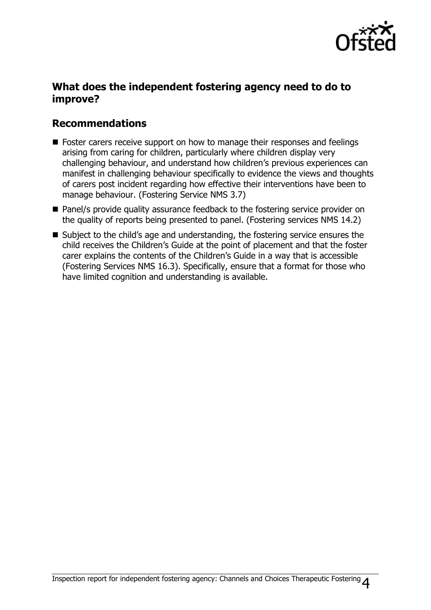

## **What does the independent fostering agency need to do to improve?**

## **Recommendations**

- Foster carers receive support on how to manage their responses and feelings arising from caring for children, particularly where children display very challenging behaviour, and understand how children's previous experiences can manifest in challenging behaviour specifically to evidence the views and thoughts of carers post incident regarding how effective their interventions have been to manage behaviour. (Fostering Service NMS 3.7)
- Panel/s provide quality assurance feedback to the fostering service provider on the quality of reports being presented to panel. (Fostering services NMS 14.2)
- Subject to the child's age and understanding, the fostering service ensures the child receives the Children's Guide at the point of placement and that the foster carer explains the contents of the Children's Guide in a way that is accessible (Fostering Services NMS 16.3). Specifically, ensure that a format for those who have limited cognition and understanding is available.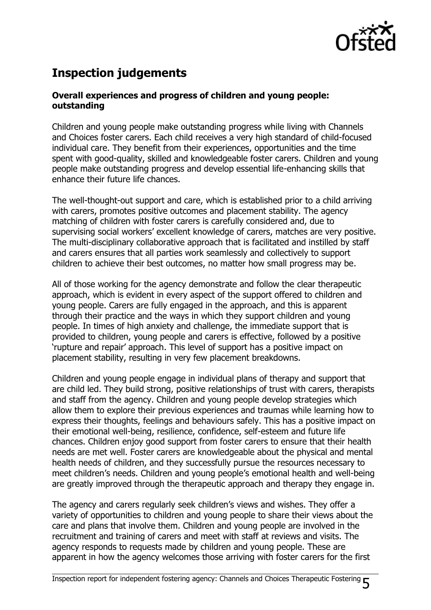

# **Inspection judgements**

### **Overall experiences and progress of children and young people: outstanding**

Children and young people make outstanding progress while living with Channels and Choices foster carers. Each child receives a very high standard of child-focused individual care. They benefit from their experiences, opportunities and the time spent with good-quality, skilled and knowledgeable foster carers. Children and young people make outstanding progress and develop essential life-enhancing skills that enhance their future life chances.

The well-thought-out support and care, which is established prior to a child arriving with carers, promotes positive outcomes and placement stability. The agency matching of children with foster carers is carefully considered and, due to supervising social workers' excellent knowledge of carers, matches are very positive. The multi-disciplinary collaborative approach that is facilitated and instilled by staff and carers ensures that all parties work seamlessly and collectively to support children to achieve their best outcomes, no matter how small progress may be.

All of those working for the agency demonstrate and follow the clear therapeutic approach, which is evident in every aspect of the support offered to children and young people. Carers are fully engaged in the approach, and this is apparent through their practice and the ways in which they support children and young people. In times of high anxiety and challenge, the immediate support that is provided to children, young people and carers is effective, followed by a positive 'rupture and repair' approach. This level of support has a positive impact on placement stability, resulting in very few placement breakdowns.

Children and young people engage in individual plans of therapy and support that are child led. They build strong, positive relationships of trust with carers, therapists and staff from the agency. Children and young people develop strategies which allow them to explore their previous experiences and traumas while learning how to express their thoughts, feelings and behaviours safely. This has a positive impact on their emotional well-being, resilience, confidence, self-esteem and future life chances. Children enjoy good support from foster carers to ensure that their health needs are met well. Foster carers are knowledgeable about the physical and mental health needs of children, and they successfully pursue the resources necessary to meet children's needs. Children and young people's emotional health and well-being are greatly improved through the therapeutic approach and therapy they engage in.

The agency and carers regularly seek children's views and wishes. They offer a variety of opportunities to children and young people to share their views about the care and plans that involve them. Children and young people are involved in the recruitment and training of carers and meet with staff at reviews and visits. The agency responds to requests made by children and young people. These are apparent in how the agency welcomes those arriving with foster carers for the first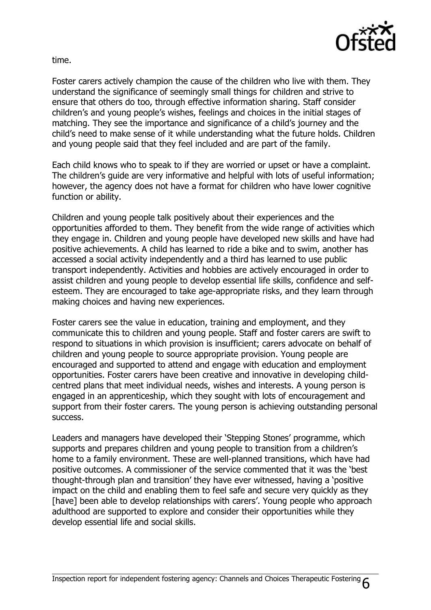

time.

Foster carers actively champion the cause of the children who live with them. They understand the significance of seemingly small things for children and strive to ensure that others do too, through effective information sharing. Staff consider children's and young people's wishes, feelings and choices in the initial stages of matching. They see the importance and significance of a child's journey and the child's need to make sense of it while understanding what the future holds. Children and young people said that they feel included and are part of the family.

Each child knows who to speak to if they are worried or upset or have a complaint. The children's guide are very informative and helpful with lots of useful information; however, the agency does not have a format for children who have lower cognitive function or ability.

Children and young people talk positively about their experiences and the opportunities afforded to them. They benefit from the wide range of activities which they engage in. Children and young people have developed new skills and have had positive achievements. A child has learned to ride a bike and to swim, another has accessed a social activity independently and a third has learned to use public transport independently. Activities and hobbies are actively encouraged in order to assist children and young people to develop essential life skills, confidence and selfesteem. They are encouraged to take age-appropriate risks, and they learn through making choices and having new experiences.

Foster carers see the value in education, training and employment, and they communicate this to children and young people. Staff and foster carers are swift to respond to situations in which provision is insufficient; carers advocate on behalf of children and young people to source appropriate provision. Young people are encouraged and supported to attend and engage with education and employment opportunities. Foster carers have been creative and innovative in developing childcentred plans that meet individual needs, wishes and interests. A young person is engaged in an apprenticeship, which they sought with lots of encouragement and support from their foster carers. The young person is achieving outstanding personal success.

Leaders and managers have developed their 'Stepping Stones' programme, which supports and prepares children and young people to transition from a children's home to a family environment. These are well-planned transitions, which have had positive outcomes. A commissioner of the service commented that it was the 'best thought-through plan and transition' they have ever witnessed, having a 'positive impact on the child and enabling them to feel safe and secure very quickly as they [have] been able to develop relationships with carers'. Young people who approach adulthood are supported to explore and consider their opportunities while they develop essential life and social skills.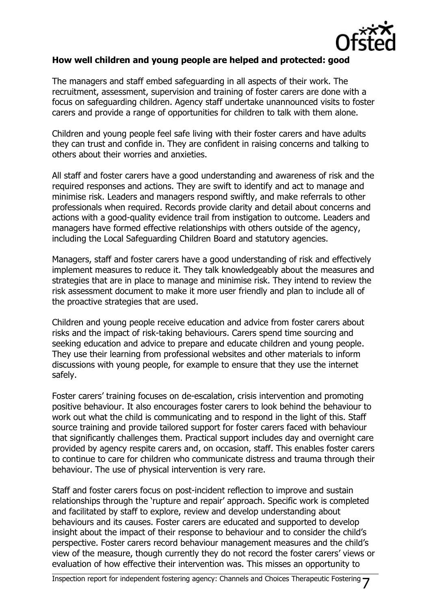

#### **How well children and young people are helped and protected: good**

The managers and staff embed safeguarding in all aspects of their work. The recruitment, assessment, supervision and training of foster carers are done with a focus on safeguarding children. Agency staff undertake unannounced visits to foster carers and provide a range of opportunities for children to talk with them alone.

Children and young people feel safe living with their foster carers and have adults they can trust and confide in. They are confident in raising concerns and talking to others about their worries and anxieties.

All staff and foster carers have a good understanding and awareness of risk and the required responses and actions. They are swift to identify and act to manage and minimise risk. Leaders and managers respond swiftly, and make referrals to other professionals when required. Records provide clarity and detail about concerns and actions with a good-quality evidence trail from instigation to outcome. Leaders and managers have formed effective relationships with others outside of the agency, including the Local Safeguarding Children Board and statutory agencies.

Managers, staff and foster carers have a good understanding of risk and effectively implement measures to reduce it. They talk knowledgeably about the measures and strategies that are in place to manage and minimise risk. They intend to review the risk assessment document to make it more user friendly and plan to include all of the proactive strategies that are used.

Children and young people receive education and advice from foster carers about risks and the impact of risk-taking behaviours. Carers spend time sourcing and seeking education and advice to prepare and educate children and young people. They use their learning from professional websites and other materials to inform discussions with young people, for example to ensure that they use the internet safely.

Foster carers' training focuses on de-escalation, crisis intervention and promoting positive behaviour. It also encourages foster carers to look behind the behaviour to work out what the child is communicating and to respond in the light of this. Staff source training and provide tailored support for foster carers faced with behaviour that significantly challenges them. Practical support includes day and overnight care provided by agency respite carers and, on occasion, staff. This enables foster carers to continue to care for children who communicate distress and trauma through their behaviour. The use of physical intervention is very rare.

Staff and foster carers focus on post-incident reflection to improve and sustain relationships through the 'rupture and repair' approach. Specific work is completed and facilitated by staff to explore, review and develop understanding about behaviours and its causes. Foster carers are educated and supported to develop insight about the impact of their response to behaviour and to consider the child's perspective. Foster carers record behaviour management measures and the child's view of the measure, though currently they do not record the foster carers' views or evaluation of how effective their intervention was. This misses an opportunity to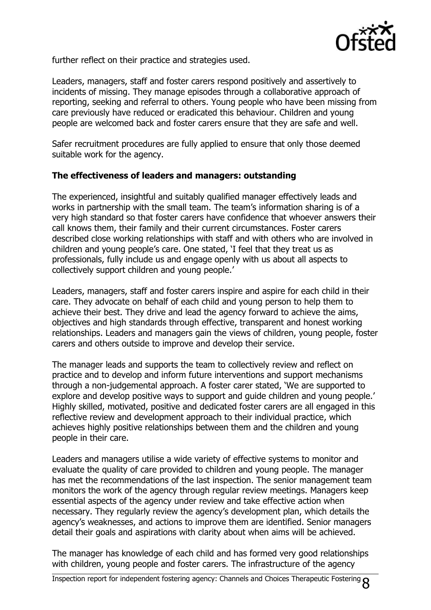

further reflect on their practice and strategies used.

Leaders, managers, staff and foster carers respond positively and assertively to incidents of missing. They manage episodes through a collaborative approach of reporting, seeking and referral to others. Young people who have been missing from care previously have reduced or eradicated this behaviour. Children and young people are welcomed back and foster carers ensure that they are safe and well.

Safer recruitment procedures are fully applied to ensure that only those deemed suitable work for the agency.

#### **The effectiveness of leaders and managers: outstanding**

The experienced, insightful and suitably qualified manager effectively leads and works in partnership with the small team. The team's information sharing is of a very high standard so that foster carers have confidence that whoever answers their call knows them, their family and their current circumstances. Foster carers described close working relationships with staff and with others who are involved in children and young people's care. One stated, 'I feel that they treat us as professionals, fully include us and engage openly with us about all aspects to collectively support children and young people.'

Leaders, managers, staff and foster carers inspire and aspire for each child in their care. They advocate on behalf of each child and young person to help them to achieve their best. They drive and lead the agency forward to achieve the aims, objectives and high standards through effective, transparent and honest working relationships. Leaders and managers gain the views of children, young people, foster carers and others outside to improve and develop their service.

The manager leads and supports the team to collectively review and reflect on practice and to develop and inform future interventions and support mechanisms through a non-judgemental approach. A foster carer stated, 'We are supported to explore and develop positive ways to support and guide children and young people.' Highly skilled, motivated, positive and dedicated foster carers are all engaged in this reflective review and development approach to their individual practice, which achieves highly positive relationships between them and the children and young people in their care.

Leaders and managers utilise a wide variety of effective systems to monitor and evaluate the quality of care provided to children and young people. The manager has met the recommendations of the last inspection. The senior management team monitors the work of the agency through regular review meetings. Managers keep essential aspects of the agency under review and take effective action when necessary. They regularly review the agency's development plan, which details the agency's weaknesses, and actions to improve them are identified. Senior managers detail their goals and aspirations with clarity about when aims will be achieved.

The manager has knowledge of each child and has formed very good relationships with children, young people and foster carers. The infrastructure of the agency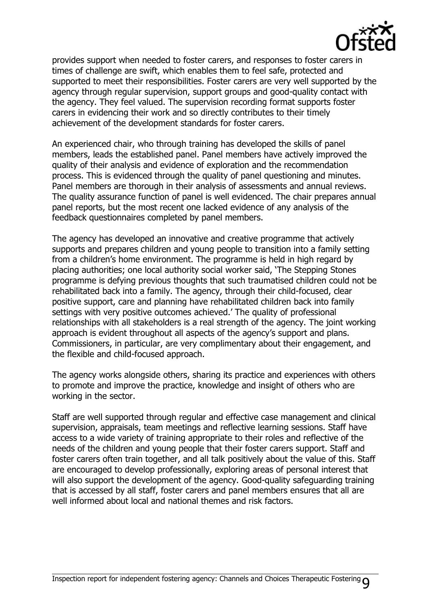

provides support when needed to foster carers, and responses to foster carers in times of challenge are swift, which enables them to feel safe, protected and supported to meet their responsibilities. Foster carers are very well supported by the agency through regular supervision, support groups and good-quality contact with the agency. They feel valued. The supervision recording format supports foster carers in evidencing their work and so directly contributes to their timely achievement of the development standards for foster carers.

An experienced chair, who through training has developed the skills of panel members, leads the established panel. Panel members have actively improved the quality of their analysis and evidence of exploration and the recommendation process. This is evidenced through the quality of panel questioning and minutes. Panel members are thorough in their analysis of assessments and annual reviews. The quality assurance function of panel is well evidenced. The chair prepares annual panel reports, but the most recent one lacked evidence of any analysis of the feedback questionnaires completed by panel members.

The agency has developed an innovative and creative programme that actively supports and prepares children and young people to transition into a family setting from a children's home environment. The programme is held in high regard by placing authorities; one local authority social worker said, 'The Stepping Stones programme is defying previous thoughts that such traumatised children could not be rehabilitated back into a family. The agency, through their child-focused, clear positive support, care and planning have rehabilitated children back into family settings with very positive outcomes achieved.' The quality of professional relationships with all stakeholders is a real strength of the agency. The joint working approach is evident throughout all aspects of the agency's support and plans. Commissioners, in particular, are very complimentary about their engagement, and the flexible and child-focused approach.

The agency works alongside others, sharing its practice and experiences with others to promote and improve the practice, knowledge and insight of others who are working in the sector.

Staff are well supported through regular and effective case management and clinical supervision, appraisals, team meetings and reflective learning sessions. Staff have access to a wide variety of training appropriate to their roles and reflective of the needs of the children and young people that their foster carers support. Staff and foster carers often train together, and all talk positively about the value of this. Staff are encouraged to develop professionally, exploring areas of personal interest that will also support the development of the agency. Good-quality safeguarding training that is accessed by all staff, foster carers and panel members ensures that all are well informed about local and national themes and risk factors.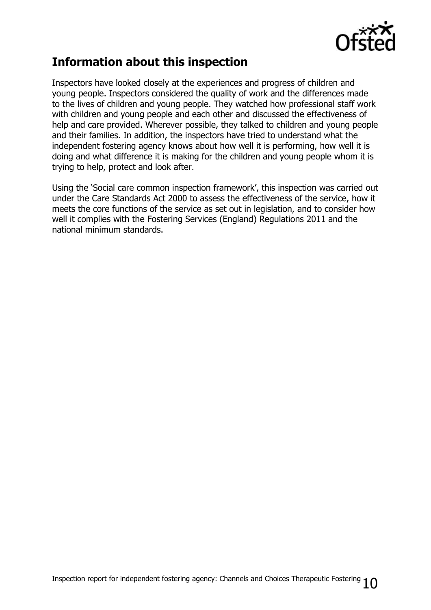

## **Information about this inspection**

Inspectors have looked closely at the experiences and progress of children and young people. Inspectors considered the quality of work and the differences made to the lives of children and young people. They watched how professional staff work with children and young people and each other and discussed the effectiveness of help and care provided. Wherever possible, they talked to children and young people and their families. In addition, the inspectors have tried to understand what the independent fostering agency knows about how well it is performing, how well it is doing and what difference it is making for the children and young people whom it is trying to help, protect and look after.

Using the 'Social care common inspection framework', this inspection was carried out under the Care Standards Act 2000 to assess the effectiveness of the service, how it meets the core functions of the service as set out in legislation, and to consider how well it complies with the Fostering Services (England) Regulations 2011 and the national minimum standards.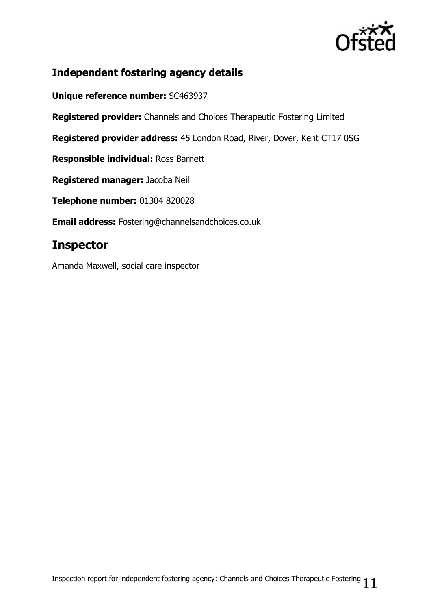

## **Independent fostering agency details**

**Unique reference number:** SC463937

**Registered provider:** Channels and Choices Therapeutic Fostering Limited

**Registered provider address:** 45 London Road, River, Dover, Kent CT17 0SG

**Responsible individual:** Ross Barnett

**Registered manager:** Jacoba Neil

**Telephone number:** 01304 820028

**Email address:** Fostering@channelsandchoices.co.uk

## **Inspector**

Amanda Maxwell, social care inspector